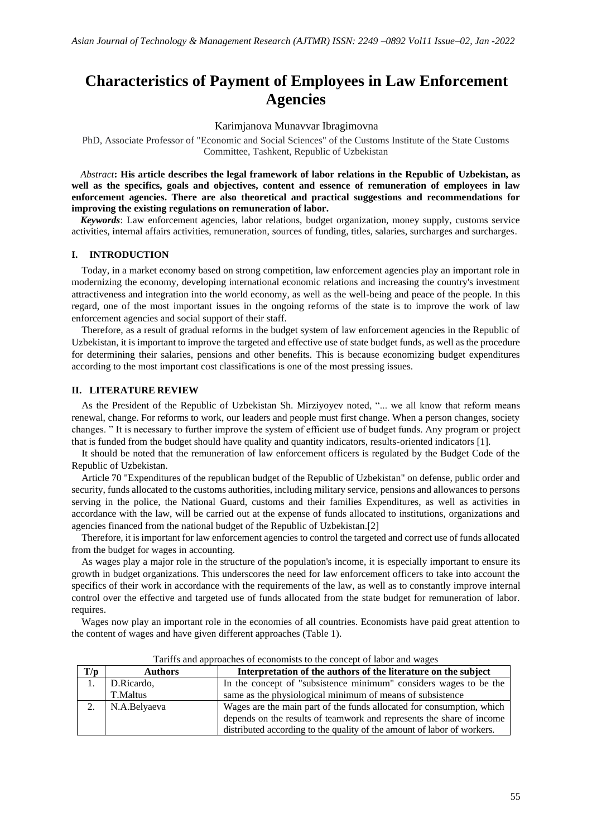# **Characteristics of Payment of Employees in Law Enforcement Agencies**

Karimjanova Munavvar Ibragimovna

PhD, Associate Professor of "Economic and Social Sciences" of the Customs Institute of the State Customs Committee, Tashkent, Republic of Uzbekistan

*Abstract***: His article describes the legal framework of labor relations in the Republic of Uzbekistan, as well as the specifics, goals and objectives, content and essence of remuneration of employees in law enforcement agencies. There are also theoretical and practical suggestions and recommendations for improving the existing regulations on remuneration of labor.**

*Keywords*: Law enforcement agencies, labor relations, budget organization, money supply, customs service activities, internal affairs activities, remuneration, sources of funding, titles, salaries, surcharges and surcharges.

## **I. INTRODUCTION**

Today, in a market economy based on strong competition, law enforcement agencies play an important role in modernizing the economy, developing international economic relations and increasing the country's investment attractiveness and integration into the world economy, as well as the well-being and peace of the people. In this regard, one of the most important issues in the ongoing reforms of the state is to improve the work of law enforcement agencies and social support of their staff.

Therefore, as a result of gradual reforms in the budget system of law enforcement agencies in the Republic of Uzbekistan, it is important to improve the targeted and effective use of state budget funds, as well as the procedure for determining their salaries, pensions and other benefits. This is because economizing budget expenditures according to the most important cost classifications is one of the most pressing issues.

#### **II. LITERATURE REVIEW**

As the President of the Republic of Uzbekistan Sh. Mirziyoyev noted, "... we all know that reform means renewal, change. For reforms to work, our leaders and people must first change. When a person changes, society changes. " It is necessary to further improve the system of efficient use of budget funds. Any program or project that is funded from the budget should have quality and quantity indicators, results-oriented indicators [1].

It should be noted that the remuneration of law enforcement officers is regulated by the Budget Code of the Republic of Uzbekistan.

Article 70 "Expenditures of the republican budget of the Republic of Uzbekistan" on defense, public order and security, funds allocated to the customs authorities, including military service, pensions and allowances to persons serving in the police, the National Guard, customs and their families Expenditures, as well as activities in accordance with the law, will be carried out at the expense of funds allocated to institutions, organizations and agencies financed from the national budget of the Republic of Uzbekistan.[2]

Therefore, it is important for law enforcement agencies to control the targeted and correct use of funds allocated from the budget for wages in accounting.

As wages play a major role in the structure of the population's income, it is especially important to ensure its growth in budget organizations. This underscores the need for law enforcement officers to take into account the specifics of their work in accordance with the requirements of the law, as well as to constantly improve internal control over the effective and targeted use of funds allocated from the state budget for remuneration of labor. requires.

Wages now play an important role in the economies of all countries. Economists have paid great attention to the content of wages and have given different approaches (Table 1).

|     | Turn on a producible of economists to the concept of has of any wages |                                                                         |  |  |  |
|-----|-----------------------------------------------------------------------|-------------------------------------------------------------------------|--|--|--|
| T/p | <b>Authors</b>                                                        | Interpretation of the authors of the literature on the subject          |  |  |  |
|     | D.Ricardo,                                                            | In the concept of "subsistence minimum" considers wages to be the       |  |  |  |
|     | T.Maltus                                                              | same as the physiological minimum of means of subsistence               |  |  |  |
| 2.  | N.A.Belyaeva                                                          | Wages are the main part of the funds allocated for consumption, which   |  |  |  |
|     |                                                                       | depends on the results of teamwork and represents the share of income   |  |  |  |
|     |                                                                       | distributed according to the quality of the amount of labor of workers. |  |  |  |

Tariffs and approaches of economists to the concept of labor and wages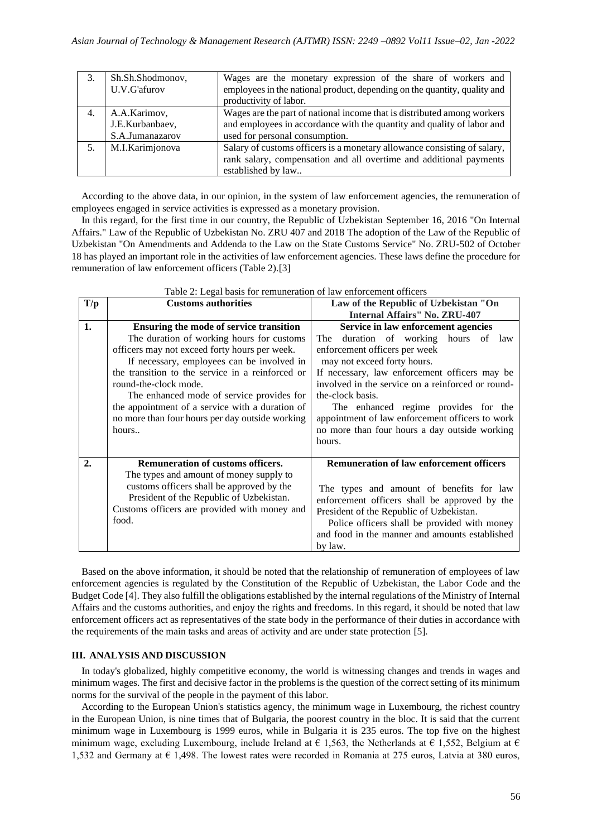|    | Sh.Sh.Shodmonov, | Wages are the monetary expression of the share of workers and             |  |
|----|------------------|---------------------------------------------------------------------------|--|
|    | U.V.G'afurov     | employees in the national product, depending on the quantity, quality and |  |
|    |                  | productivity of labor.                                                    |  |
| 4. | A.A.Karimov,     | Wages are the part of national income that is distributed among workers   |  |
|    | J.E.Kurbanbaev,  | and employees in accordance with the quantity and quality of labor and    |  |
|    | S.A.Jumanazarov  | used for personal consumption.                                            |  |
|    | M.I.Karimjonova  | Salary of customs officers is a monetary allowance consisting of salary,  |  |
|    |                  | rank salary, compensation and all overtime and additional payments        |  |
|    |                  | established by law                                                        |  |

According to the above data, in our opinion, in the system of law enforcement agencies, the remuneration of employees engaged in service activities is expressed as a monetary provision.

In this regard, for the first time in our country, the Republic of Uzbekistan September 16, 2016 "On Internal Affairs." Law of the Republic of Uzbekistan No. ZRU 407 and 2018 The adoption of the Law of the Republic of Uzbekistan "On Amendments and Addenda to the Law on the State Customs Service" No. ZRU-502 of October 18 has played an important role in the activities of law enforcement agencies. These laws define the procedure for remuneration of law enforcement officers (Table 2).[3]

|     | Table 2. Legal basis for remuneration of law emorgement officers |                                                   |  |  |  |
|-----|------------------------------------------------------------------|---------------------------------------------------|--|--|--|
| T/p | <b>Customs authorities</b>                                       | Law of the Republic of Uzbekistan "On             |  |  |  |
|     |                                                                  | <b>Internal Affairs'' No. ZRU-407</b>             |  |  |  |
| 1.  | Ensuring the mode of service transition                          | Service in law enforcement agencies               |  |  |  |
|     | The duration of working hours for customs                        | duration of working hours of<br>The<br>law        |  |  |  |
|     | officers may not exceed forty hours per week.                    | enforcement officers per week                     |  |  |  |
|     | If necessary, employees can be involved in                       | may not exceed forty hours.                       |  |  |  |
|     | the transition to the service in a reinforced or                 | If necessary, law enforcement officers may be     |  |  |  |
|     | round-the-clock mode.                                            | involved in the service on a reinforced or round- |  |  |  |
|     | The enhanced mode of service provides for                        | the-clock basis.                                  |  |  |  |
|     | the appointment of a service with a duration of                  | The enhanced regime provides for the              |  |  |  |
|     | no more than four hours per day outside working                  | appointment of law enforcement officers to work   |  |  |  |
|     | hours                                                            | no more than four hours a day outside working     |  |  |  |
|     |                                                                  | hours.                                            |  |  |  |
|     |                                                                  |                                                   |  |  |  |
| 2.  | <b>Remuneration of customs officers.</b>                         | <b>Remuneration of law enforcement officers</b>   |  |  |  |
|     | The types and amount of money supply to                          |                                                   |  |  |  |
|     | customs officers shall be approved by the                        | The types and amount of benefits for law          |  |  |  |
|     | President of the Republic of Uzbekistan.                         | enforcement officers shall be approved by the     |  |  |  |
|     | Customs officers are provided with money and                     | President of the Republic of Uzbekistan.          |  |  |  |
|     | food.                                                            | Police officers shall be provided with money      |  |  |  |
|     |                                                                  | and food in the manner and amounts established    |  |  |  |
|     |                                                                  | by law.                                           |  |  |  |

 $Table 2: Local basic form approximation of low on the$ 

Based on the above information, it should be noted that the relationship of remuneration of employees of law enforcement agencies is regulated by the Constitution of the Republic of Uzbekistan, the Labor Code and the Budget Code [4]. They also fulfill the obligations established by the internal regulations of the Ministry of Internal Affairs and the customs authorities, and enjoy the rights and freedoms. In this regard, it should be noted that law enforcement officers act as representatives of the state body in the performance of their duties in accordance with the requirements of the main tasks and areas of activity and are under state protection [5].

## **III. ANALYSIS AND DISCUSSION**

In today's globalized, highly competitive economy, the world is witnessing changes and trends in wages and minimum wages. The first and decisive factor in the problems is the question of the correct setting of its minimum norms for the survival of the people in the payment of this labor.

According to the European Union's statistics agency, the minimum wage in Luxembourg, the richest country in the European Union, is nine times that of Bulgaria, the poorest country in the bloc. It is said that the current minimum wage in Luxembourg is 1999 euros, while in Bulgaria it is 235 euros. The top five on the highest minimum wage, excluding Luxembourg, include Ireland at  $\epsilon$  1,563, the Netherlands at  $\epsilon$  1,552, Belgium at  $\epsilon$ 1,532 and Germany at € 1,498. The lowest rates were recorded in Romania at 275 euros, Latvia at 380 euros,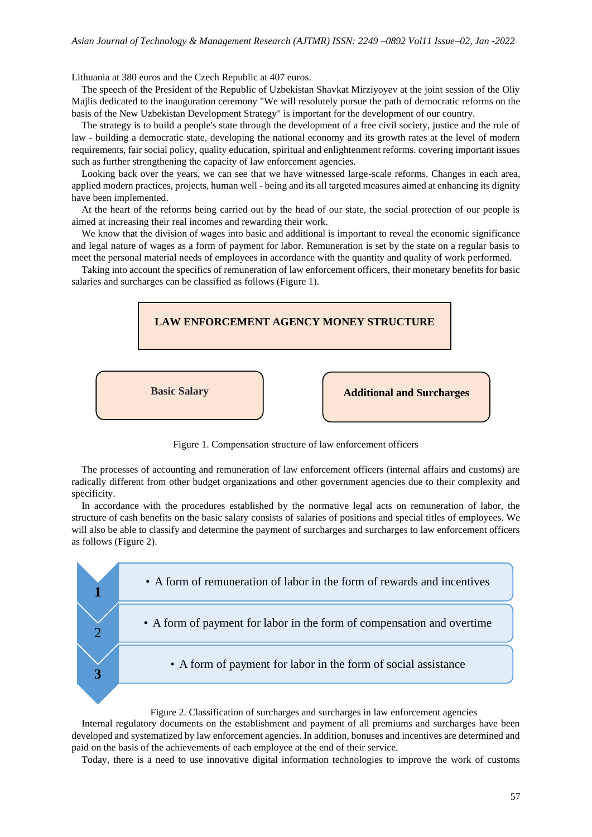Lithuania at 380 euros and the Czech Republic at 407 euros.

The speech of the President of the Republic of Uzbekistan Shavkat Mirziyoyev at the joint session of the Oliy Majlis dedicated to the inauguration ceremony "We will resolutely pursue the path of democratic reforms on the basis of the New Uzbekistan Development Strategy" is important for the development of our country.

The strategy is to build a people's state through the development of a free civil society, justice and the rule of law - building a democratic state, developing the national economy and its growth rates at the level of modern requirements, fair social policy, quality education, spiritual and enlightenment reforms. covering important issues such as further strengthening the capacity of law enforcement agencies.

Looking back over the years, we can see that we have witnessed large-scale reforms. Changes in each area, applied modern practices, projects, human well - being and its all targeted measures aimed at enhancing its dignity have been implemented.

At the heart of the reforms being carried out by the head of our state, the social protection of our people is aimed at increasing their real incomes and rewarding their work.

We know that the division of wages into basic and additional is important to reveal the economic significance and legal nature of wages as a form of payment for labor. Remuneration is set by the state on a regular basis to meet the personal material needs of employees in accordance with the quantity and quality of work performed.

Taking into account the specifics of remuneration of law enforcement officers, their monetary benefits for basic salaries and surcharges can be classified as follows (Figure 1).



Figure 1. Compensation structure of law enforcement officers

The processes of accounting and remuneration of law enforcement officers (internal affairs and customs) are radically different from other budget organizations and other government agencies due to their complexity and specificity.

In accordance with the procedures established by the normative legal acts on remuneration of labor, the structure of cash benefits on the basic salary consists of salaries of positions and special titles of employees. We will also be able to classify and determine the payment of surcharges and surcharges to law enforcement officers as follows (Figure 2).



Figure 2. Classification of surcharges and surcharges in law enforcement agencies

Internal regulatory documents on the establishment and payment of all premiums and surcharges have been developed and systematized by law enforcement agencies. In addition, bonuses and incentives are determined and paid on the basis of the achievements of each employee at the end of their service.

Today, there is a need to use innovative digital information technologies to improve the work of customs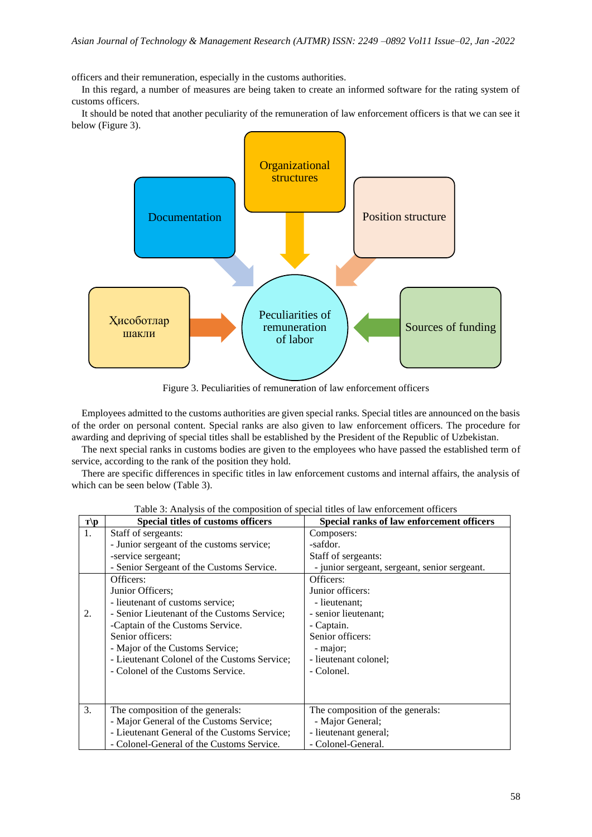officers and their remuneration, especially in the customs authorities.

In this regard, a number of measures are being taken to create an informed software for the rating system of customs officers.

It should be noted that another peculiarity of the remuneration of law enforcement officers is that we can see it below (Figure 3).



Figure 3. Peculiarities of remuneration of law enforcement officers

Employees admitted to the customs authorities are given special ranks. Special titles are announced on the basis of the order on personal content. Special ranks are also given to law enforcement officers. The procedure for awarding and depriving of special titles shall be established by the President of the Republic of Uzbekistan.

The next special ranks in customs bodies are given to the employees who have passed the established term of service, according to the rank of the position they hold.

There are specific differences in specific titles in law enforcement customs and internal affairs, the analysis of which can be seen below (Table 3).

| $\mathbf{T}$ | <b>Special titles of customs officers</b>    | Special ranks of law enforcement officers     |
|--------------|----------------------------------------------|-----------------------------------------------|
| 1.           | Staff of sergeants:                          | Composers:                                    |
|              | - Junior sergeant of the customs service;    | -safdor.                                      |
|              | -service sergeant;                           | Staff of sergeants:                           |
|              | - Senior Sergeant of the Customs Service.    | - junior sergeant, sergeant, senior sergeant. |
|              | Officers:                                    | Officers:                                     |
|              | Junior Officers;                             | Junior officers:                              |
|              | - lieutenant of customs service;             | - lieutenant;                                 |
| 2.           | - Senior Lieutenant of the Customs Service;  | - senior lieutenant:                          |
|              | -Captain of the Customs Service.             | - Captain.                                    |
|              | Senior officers:                             | Senior officers:                              |
|              | - Major of the Customs Service;              | - major;                                      |
|              | - Lieutenant Colonel of the Customs Service; | - lieutenant colonel;                         |
|              | - Colonel of the Customs Service.            | - Colonel.                                    |
|              |                                              |                                               |
|              |                                              |                                               |
| 3.           | The composition of the generals:             | The composition of the generals:              |
|              | - Major General of the Customs Service;      | - Major General;                              |
|              | - Lieutenant General of the Customs Service; | - lieutenant general;                         |
|              | - Colonel-General of the Customs Service.    | - Colonel-General.                            |

Table 3: Analysis of the composition of special titles of law enforcement officers